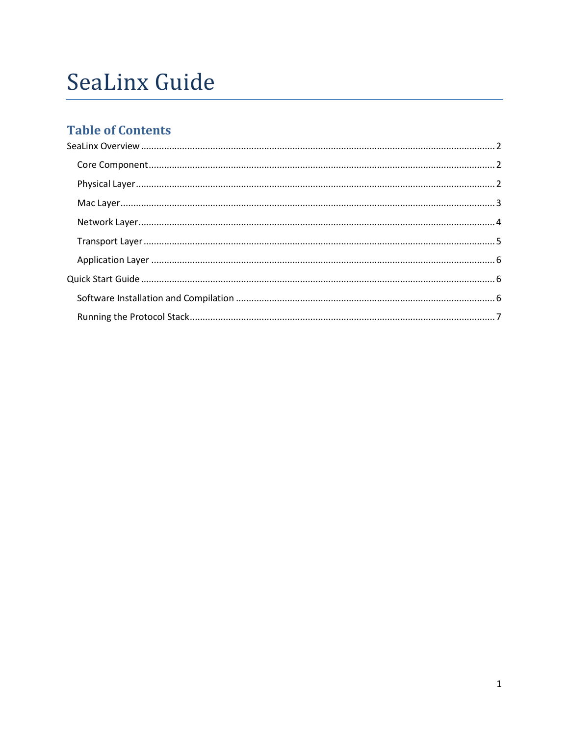# **SeaLinx Guide**

## **Table of Contents**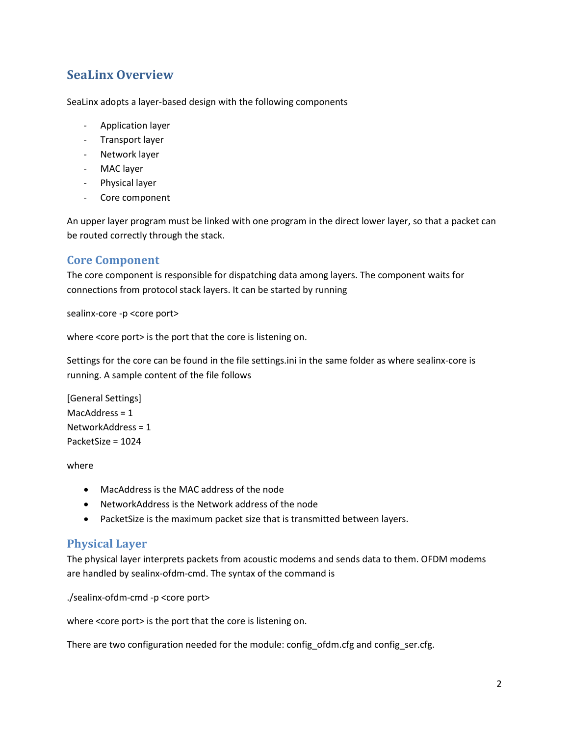## <span id="page-1-0"></span>**SeaLinx Overview**

SeaLinx adopts a layer-based design with the following components

- Application layer
- Transport layer
- Network layer
- MAC layer
- Physical layer
- Core component

An upper layer program must be linked with one program in the direct lower layer, so that a packet can be routed correctly through the stack.

## <span id="page-1-1"></span>**Core Component**

The core component is responsible for dispatching data among layers. The component waits for connections from protocol stack layers. It can be started by running

sealinx-core -p <core port>

where <core port> is the port that the core is listening on.

Settings for the core can be found in the file settings.ini in the same folder as where sealinx-core is running. A sample content of the file follows

[General Settings] MacAddress = 1 NetworkAddress = 1 PacketSize = 1024

where

- MacAddress is the MAC address of the node
- NetworkAddress is the Network address of the node
- PacketSize is the maximum packet size that is transmitted between layers.

## <span id="page-1-2"></span>**Physical Layer**

The physical layer interprets packets from acoustic modems and sends data to them. OFDM modems are handled by sealinx-ofdm-cmd. The syntax of the command is

./sealinx-ofdm-cmd -p <core port>

where <core port> is the port that the core is listening on.

There are two configuration needed for the module: config\_ofdm.cfg and config\_ser.cfg.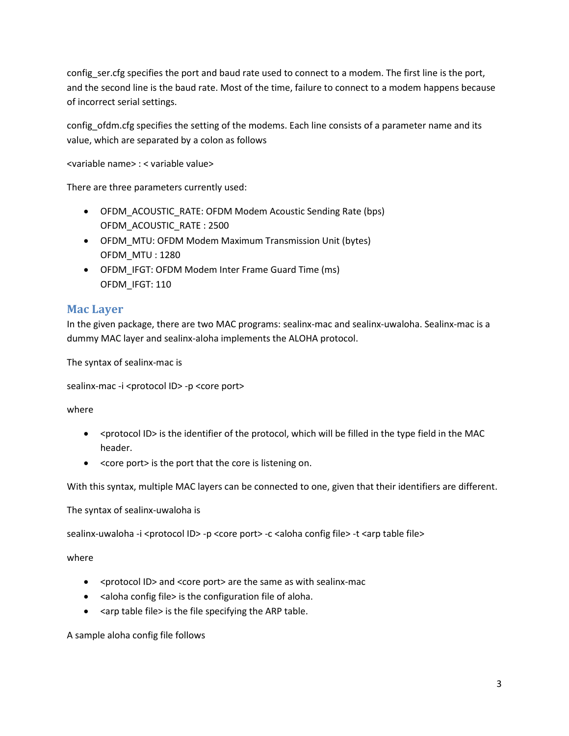config\_ser.cfg specifies the port and baud rate used to connect to a modem. The first line is the port, and the second line is the baud rate. Most of the time, failure to connect to a modem happens because of incorrect serial settings.

config\_ofdm.cfg specifies the setting of the modems. Each line consists of a parameter name and its value, which are separated by a colon as follows

<variable name> : < variable value>

There are three parameters currently used:

- OFDM\_ACOUSTIC\_RATE: OFDM Modem Acoustic Sending Rate (bps) OFDM\_ACOUSTIC\_RATE : 2500
- OFDM\_MTU: OFDM Modem Maximum Transmission Unit (bytes) OFDM\_MTU : 1280
- OFDM\_IFGT: OFDM Modem Inter Frame Guard Time (ms) OFDM\_IFGT: 110

### <span id="page-2-0"></span>**Mac Layer**

In the given package, there are two MAC programs: sealinx-mac and sealinx-uwaloha. Sealinx-mac is a dummy MAC layer and sealinx-aloha implements the ALOHA protocol.

The syntax of sealinx-mac is

sealinx-mac -i <protocol ID> -p <core port>

where

- < protocol ID> is the identifier of the protocol, which will be filled in the type field in the MAC header.
- <core port> is the port that the core is listening on.

With this syntax, multiple MAC layers can be connected to one, given that their identifiers are different.

The syntax of sealinx-uwaloha is

sealinx-uwaloha -i <protocol ID> -p <core port> -c <aloha config file> -t <arp table file>

where

- <protocol ID> and <core port> are the same as with sealinx-mac
- <aloha config file> is the configuration file of aloha.
- $\bullet$  <arp table file> is the file specifying the ARP table.

A sample aloha config file follows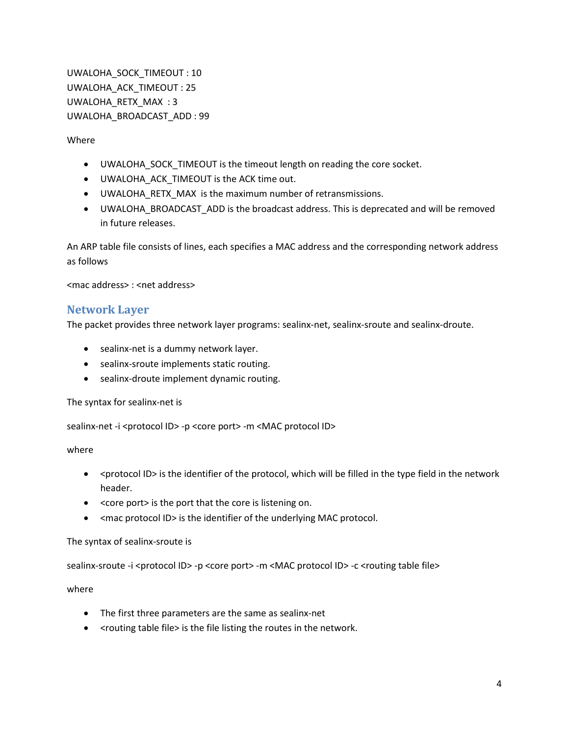UWALOHA\_SOCK\_TIMEOUT : 10 UWALOHA\_ACK\_TIMEOUT : 25 UWALOHA\_RETX\_MAX : 3 UWALOHA\_BROADCAST\_ADD : 99

Where

- UWALOHA\_SOCK\_TIMEOUT is the timeout length on reading the core socket.
- UWALOHA\_ACK\_TIMEOUT is the ACK time out.
- UWALOHA\_RETX\_MAX is the maximum number of retransmissions.
- UWALOHA\_BROADCAST\_ADD is the broadcast address. This is deprecated and will be removed in future releases.

An ARP table file consists of lines, each specifies a MAC address and the corresponding network address as follows

<mac address> : <net address>

#### <span id="page-3-0"></span>**Network Layer**

The packet provides three network layer programs: sealinx-net, sealinx-sroute and sealinx-droute.

- sealinx-net is a dummy network layer.
- sealinx-sroute implements static routing.
- sealinx-droute implement dynamic routing.

The syntax for sealinx-net is

sealinx-net -i <protocol ID> -p <core port> -m <MAC protocol ID>

where

- < protocol ID> is the identifier of the protocol, which will be filled in the type field in the network header.
- <core port> is the port that the core is listening on.
- <mac protocol ID> is the identifier of the underlying MAC protocol.

#### The syntax of sealinx-sroute is

sealinx-sroute -i <protocol ID> -p <core port> -m <MAC protocol ID> -c <routing table file>

where

- The first three parameters are the same as sealinx-net
- < routing table file> is the file listing the routes in the network.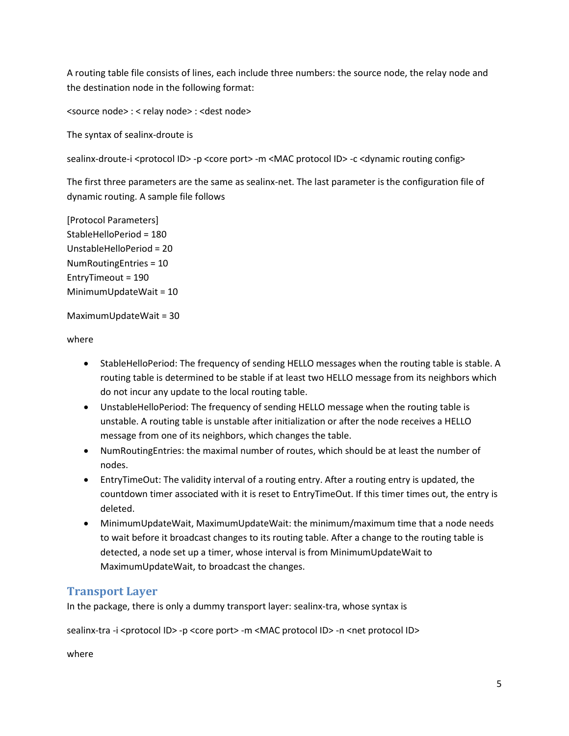A routing table file consists of lines, each include three numbers: the source node, the relay node and the destination node in the following format:

<source node> : < relay node> : <dest node>

The syntax of sealinx-droute is

sealinx-droute-i <protocol ID> -p <core port> -m <MAC protocol ID> -c <dynamic routing config>

The first three parameters are the same as sealinx-net. The last parameter is the configuration file of dynamic routing. A sample file follows

[Protocol Parameters] StableHelloPeriod = 180 UnstableHelloPeriod = 20 NumRoutingEntries = 10 EntryTimeout = 190 MinimumUpdateWait = 10

MaximumUpdateWait = 30

where

- StableHelloPeriod: The frequency of sending HELLO messages when the routing table is stable. A routing table is determined to be stable if at least two HELLO message from its neighbors which do not incur any update to the local routing table.
- UnstableHelloPeriod: The frequency of sending HELLO message when the routing table is unstable. A routing table is unstable after initialization or after the node receives a HELLO message from one of its neighbors, which changes the table.
- NumRoutingEntries: the maximal number of routes, which should be at least the number of nodes.
- EntryTimeOut: The validity interval of a routing entry. After a routing entry is updated, the countdown timer associated with it is reset to EntryTimeOut. If this timer times out, the entry is deleted.
- MinimumUpdateWait, MaximumUpdateWait: the minimum/maximum time that a node needs to wait before it broadcast changes to its routing table. After a change to the routing table is detected, a node set up a timer, whose interval is from MinimumUpdateWait to MaximumUpdateWait, to broadcast the changes.

## <span id="page-4-0"></span>**Transport Layer**

In the package, there is only a dummy transport layer: sealinx-tra, whose syntax is

sealinx-tra -i <protocol ID> -p <core port> -m <MAC protocol ID> -n <net protocol ID>

where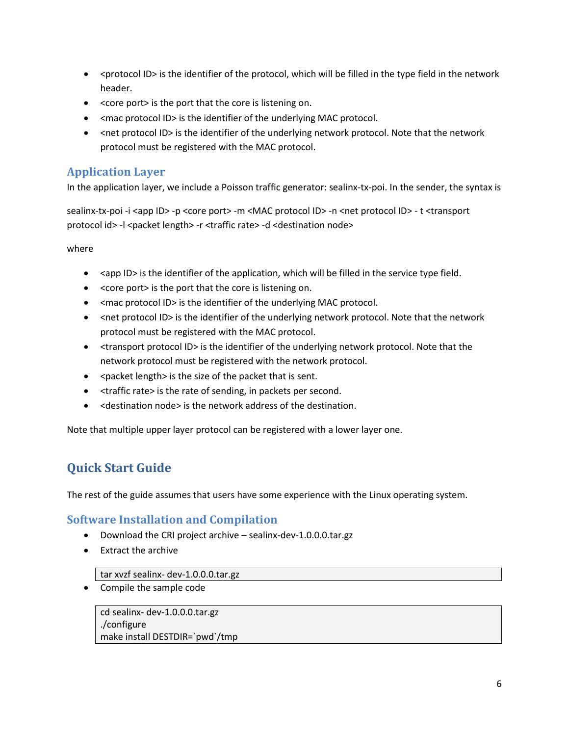- < protocol ID> is the identifier of the protocol, which will be filled in the type field in the network header.
- <core port> is the port that the core is listening on.
- <mac protocol ID> is the identifier of the underlying MAC protocol.
- <net protocol ID> is the identifier of the underlying network protocol. Note that the network protocol must be registered with the MAC protocol.

## <span id="page-5-0"></span>**Application Layer**

In the application layer, we include a Poisson traffic generator: sealinx-tx-poi. In the sender, the syntax is

sealinx-tx-poi -i <app ID> -p <core port> -m <MAC protocol ID> -n <net protocol ID> - t <transport protocol id> -l <packet length> -r <traffic rate> -d <destination node>

where

- $\bullet$  <app ID> is the identifier of the application, which will be filled in the service type field.
- <core port> is the port that the core is listening on.
- <mac protocol ID> is the identifier of the underlying MAC protocol.
- <net protocol ID> is the identifier of the underlying network protocol. Note that the network protocol must be registered with the MAC protocol.
- <transport protocol ID> is the identifier of the underlying network protocol. Note that the network protocol must be registered with the network protocol.
- $\bullet$  <packet length> is the size of the packet that is sent.
- <traffic rate> is the rate of sending, in packets per second.
- $\bullet$  <destination node> is the network address of the destination.

Note that multiple upper layer protocol can be registered with a lower layer one.

## <span id="page-5-1"></span>**Quick Start Guide**

The rest of the guide assumes that users have some experience with the Linux operating system.

## <span id="page-5-2"></span>**Software Installation and Compilation**

- Download the CRI project archive sealinx-dev-1.0.0.0.tar.gz
- Extract the archive

#### tar xvzf sealinx- dev-1.0.0.0.tar.gz

• Compile the sample code

cd sealinx- dev-1.0.0.0.tar.gz ./configure make install DESTDIR=`pwd`/tmp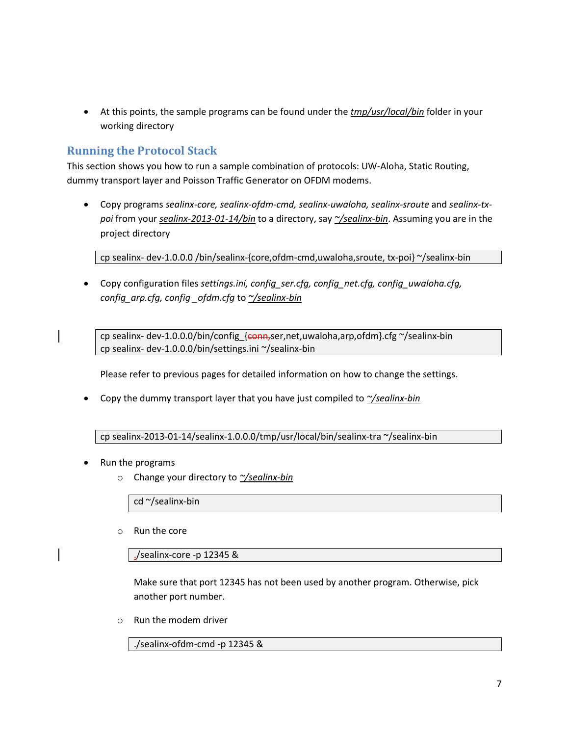At this points, the sample programs can be found under the *tmp/usr/local/bin* folder in your working directory

## <span id="page-6-0"></span>**Running the Protocol Stack**

This section shows you how to run a sample combination of protocols: UW-Aloha, Static Routing, dummy transport layer and Poisson Traffic Generator on OFDM modems.

 Copy programs *sealinx-core, sealinx-ofdm-cmd, sealinx-uwaloha, sealinx-sroute* and *sealinx-txpoi* from your *sealinx-2013-01-14/bin* to a directory, say *~/sealinx-bin*. Assuming you are in the project directory

cp sealinx- dev-1.0.0.0 /bin/sealinx-{core,ofdm-cmd,uwaloha,sroute, tx-poi} ~/sealinx-bin

 Copy configuration files *settings.ini, config\_ser.cfg, config\_net.cfg, config\_uwaloha.cfg, config\_arp.cfg, config \_ofdm.cfg* to *~/sealinx-bin*

cp sealinx- dev-1.0.0.0/bin/config\_{conn}ser,net,uwaloha,arp,ofdm}.cfg ~/sealinx-bin cp sealinx- dev-1.0.0.0/bin/settings.ini ~/sealinx-bin

Please refer to previous pages for detailed information on how to change the settings.

Copy the dummy transport layer that you have just compiled to *~/sealinx-bin*

cp sealinx-2013-01-14/sealinx-1.0.0.0/tmp/usr/local/bin/sealinx-tra ~/sealinx-bin

- Run the programs
	- o Change your directory to *~/sealinx-bin*

cd ~/sealinx-bin

o Run the core

./sealinx-core -p 12345 &

Make sure that port 12345 has not been used by another program. Otherwise, pick another port number.

o Run the modem driver

./sealinx-ofdm-cmd -p 12345 &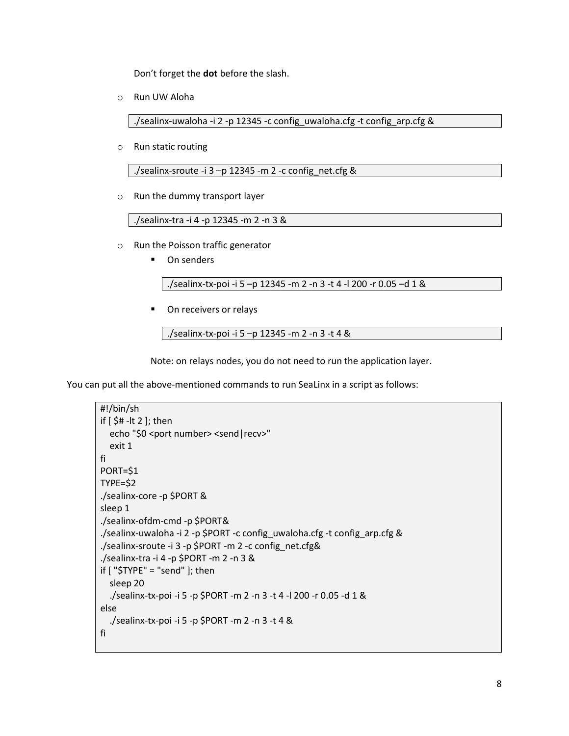Don't forget the **dot** before the slash.

o Run UW Aloha

./sealinx-uwaloha -i 2 -p 12345 -c config\_uwaloha.cfg -t config\_arp.cfg &

o Run static routing

./sealinx-sroute -i  $3$  -p 12345 -m 2 -c config net.cfg &

o Run the dummy transport layer

./sealinx-tra -i 4 -p 12345 -m 2 -n 3 &

- o Run the Poisson traffic generator
	- **-** On senders

./sealinx-tx-poi -i 5 –p 12345 -m 2 -n 3 -t 4 -l 200 -r 0.05 –d 1 &

On receivers or relays

./sealinx-tx-poi -i 5 –p 12345 -m 2 -n 3 -t 4 &

Note: on relays nodes, you do not need to run the application layer.

You can put all the above-mentioned commands to run SeaLinx in a script as follows:

```
#!/bin/sh
if [ $# -lt 2 ]; then
  echo "$0 <port number> <send | recv>"
   exit 1
fi
PORT=$1
TYPE=$2
./sealinx-core -p $PORT &
sleep 1
./sealinx-ofdm-cmd -p $PORT&
./sealinx-uwaloha -i 2 -p $PORT -c config_uwaloha.cfg -t config_arp.cfg &
./sealinx-sroute -i 3 -p $PORT -m 2 -c config_net.cfg&
./sealinx-tra -i 4 -p $PORT -m 2 -n 3 &
if [ "$TYPE" = "send" ]; then
   sleep 20
   ./sealinx-tx-poi -i 5 -p $PORT -m 2 -n 3 -t 4 -l 200 -r 0.05 -d 1 &
else
   ./sealinx-tx-poi -i 5 -p $PORT -m 2 -n 3 -t 4 &
fi
```